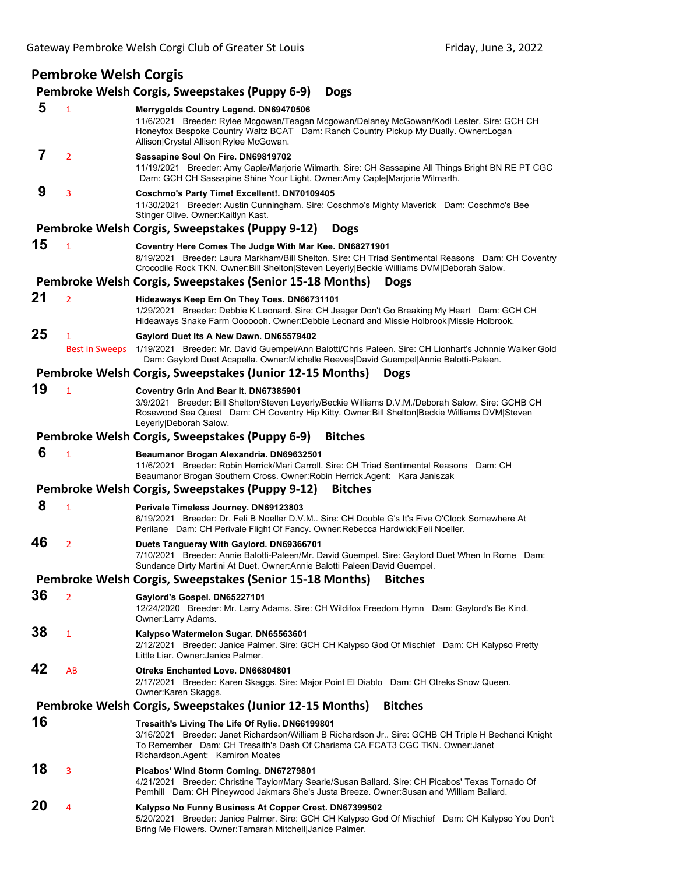# **Pembroke Welsh Corgis**

# **Pembroke Welsh Corgis, Sweepstakes (Puppy 6‐9) Dogs**

| 5  | $\mathbf{1}$               | Merrygolds Country Legend. DN69470506<br>11/6/2021 Breeder: Rylee Mcgowan/Teagan Mcgowan/Delaney McGowan/Kodi Lester. Sire: GCH CH<br>Honeyfox Bespoke Country Waltz BCAT Dam: Ranch Country Pickup My Dually. Owner: Logan<br>Allison Crystal Allison Rylee McGowan.        |
|----|----------------------------|------------------------------------------------------------------------------------------------------------------------------------------------------------------------------------------------------------------------------------------------------------------------------|
| 7  | $\overline{2}$             | Sassapine Soul On Fire. DN69819702<br>11/19/2021 Breeder: Amy Caple/Marjorie Wilmarth. Sire: CH Sassapine All Things Bright BN RE PT CGC<br>Dam: GCH CH Sassapine Shine Your Light. Owner:Amy Caple Marjorie Wilmarth.                                                       |
| 9  | 3                          | Coschmo's Party Time! Excellent!. DN70109405<br>11/30/2021 Breeder: Austin Cunningham. Sire: Coschmo's Mighty Maverick Dam: Coschmo's Bee<br>Stinger Olive. Owner: Kaitlyn Kast.                                                                                             |
|    |                            | Pembroke Welsh Corgis, Sweepstakes (Puppy 9-12)<br><b>Dogs</b>                                                                                                                                                                                                               |
| 15 | $\mathbf{1}$               | Coventry Here Comes The Judge With Mar Kee. DN68271901<br>8/19/2021 Breeder: Laura Markham/Bill Shelton. Sire: CH Triad Sentimental Reasons Dam: CH Coventry<br>Crocodile Rock TKN. Owner: Bill Shelton Steven Leyerly Beckie Williams DVM Deborah Salow.                    |
|    |                            | Pembroke Welsh Corgis, Sweepstakes (Senior 15-18 Months)<br><b>Dogs</b>                                                                                                                                                                                                      |
| 21 | $\overline{2}$             | Hideaways Keep Em On They Toes. DN66731101<br>1/29/2021 Breeder: Debbie K Leonard. Sire: CH Jeager Don't Go Breaking My Heart Dam: GCH CH<br>Hideaways Snake Farm Ooooooh. Owner:Debbie Leonard and Missie Holbrook Missie Holbrook.                                         |
| 25 | 1<br><b>Best in Sweeps</b> | Gaylord Duet Its A New Dawn. DN65579402<br>1/19/2021 Breeder: Mr. David Guempel/Ann Balotti/Chris Paleen. Sire: CH Lionhart's Johnnie Walker Gold<br>Dam: Gaylord Duet Acapella. Owner: Michelle Reeves David Guempel Annie Balotti-Paleen.                                  |
|    |                            | Pembroke Welsh Corgis, Sweepstakes (Junior 12-15 Months)<br><b>Dogs</b>                                                                                                                                                                                                      |
| 19 | $\mathbf{1}$               | Coventry Grin And Bear It. DN67385901<br>3/9/2021 Breeder: Bill Shelton/Steven Leyerly/Beckie Williams D.V.M./Deborah Salow. Sire: GCHB CH<br>Rosewood Sea Quest Dam: CH Coventry Hip Kitty. Owner: Bill Shelton Beckie Williams DVM Steven<br>Leyerly Deborah Salow.        |
|    |                            | Pembroke Welsh Corgis, Sweepstakes (Puppy 6-9)<br><b>Bitches</b>                                                                                                                                                                                                             |
| 6  | $\mathbf{1}$               | Beaumanor Brogan Alexandria. DN69632501<br>11/6/2021 Breeder: Robin Herrick/Mari Carroll. Sire: CH Triad Sentimental Reasons Dam: CH<br>Beaumanor Brogan Southern Cross. Owner: Robin Herrick. Agent: Kara Janiszak                                                          |
|    |                            | Pembroke Welsh Corgis, Sweepstakes (Puppy 9-12)<br><b>Bitches</b>                                                                                                                                                                                                            |
| 8  | $\mathbf{1}$               | Perivale Timeless Journey. DN69123803<br>6/19/2021 Breeder: Dr. Feli B Noeller D.V.M Sire: CH Double G's It's Five O'Clock Somewhere At<br>Perilane Dam: CH Perivale Flight Of Fancy. Owner: Rebecca Hardwick Feli Noeller.                                                  |
| 46 | $\overline{2}$             | Duets Tangueray With Gaylord. DN69366701<br>7/10/2021 Breeder: Annie Balotti-Paleen/Mr. David Guempel. Sire: Gaylord Duet When In Rome Dam:<br>Sundance Dirty Martini At Duet. Owner: Annie Balotti Paleen David Guempel.                                                    |
|    |                            | Pembroke Welsh Corgis, Sweepstakes (Senior 15-18 Months)<br><b>Bitches</b>                                                                                                                                                                                                   |
| 36 |                            | Gaylord's Gospel. DN65227101<br>12/24/2020 Breeder: Mr. Larry Adams. Sire: CH Wildifox Freedom Hymn Dam: Gaylord's Be Kind.<br>Owner:Larry Adams.                                                                                                                            |
| 38 | $\mathbf{1}$               | Kalypso Watermelon Sugar. DN65563601<br>2/12/2021 Breeder: Janice Palmer. Sire: GCH CH Kalypso God Of Mischief Dam: CH Kalypso Pretty<br>Little Liar. Owner: Janice Palmer.                                                                                                  |
| 42 | AB                         | <b>Otreks Enchanted Love, DN66804801</b><br>2/17/2021 Breeder: Karen Skaggs. Sire: Major Point El Diablo Dam: CH Otreks Snow Queen.<br>Owner:Karen Skaggs.                                                                                                                   |
|    |                            | Pembroke Welsh Corgis, Sweepstakes (Junior 12-15 Months)<br><b>Bitches</b>                                                                                                                                                                                                   |
| 16 |                            | Tresaith's Living The Life Of Rylie. DN66199801<br>3/16/2021 Breeder: Janet Richardson/William B Richardson Jr Sire: GCHB CH Triple H Bechanci Knight<br>To Remember   Dam: CH Tresaith's Dash Of Charisma CA FCAT3 CGC TKN. Owner:Janet<br>Richardson.Agent: Kamiron Moates |
| 18 | 3                          | Picabos' Wind Storm Coming. DN67279801<br>4/21/2021 Breeder: Christine Taylor/Mary Searle/Susan Ballard. Sire: CH Picabos' Texas Tornado Of<br>Pemhill Dam: CH Pineywood Jakmars She's Justa Breeze. Owner: Susan and William Ballard.                                       |
| 20 | 4                          | Kalypso No Funny Business At Copper Crest. DN67399502<br>5/20/2021 Breeder: Janice Palmer. Sire: GCH CH Kalypso God Of Mischief Dam: CH Kalypso You Don't<br>Bring Me Flowers. Owner: Tamarah Mitchell Janice Palmer.                                                        |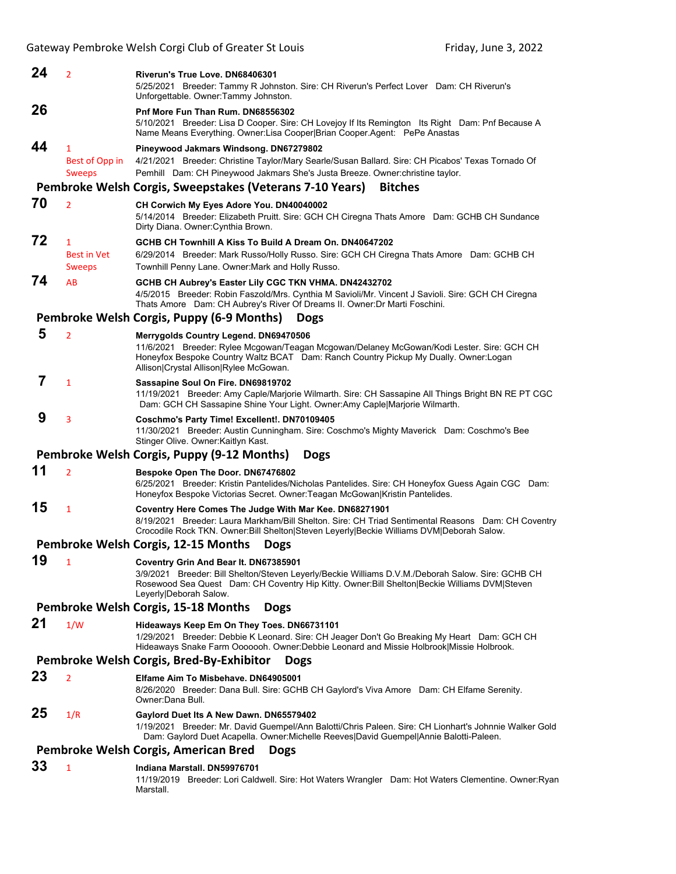| 24                                                      | $\overline{2}$                                      | Riverun's True Love, DN68406301<br>5/25/2021 Breeder: Tammy R Johnston. Sire: CH Riverun's Perfect Lover Dam: CH Riverun's<br>Unforgettable. Owner:Tammy Johnston.                                                                                                    |  |  |  |
|---------------------------------------------------------|-----------------------------------------------------|-----------------------------------------------------------------------------------------------------------------------------------------------------------------------------------------------------------------------------------------------------------------------|--|--|--|
| 26                                                      |                                                     | Pnf More Fun Than Rum. DN68556302<br>5/10/2021 Breeder: Lisa D Cooper. Sire: CH Lovejoy If Its Remington Its Right Dam: Pnf Because A<br>Name Means Everything. Owner: Lisa Cooper Brian Cooper. Agent: PePe Anastas                                                  |  |  |  |
| 44                                                      | 1<br>Best of Opp in<br><b>Sweeps</b>                | Pineywood Jakmars Windsong. DN67279802<br>4/21/2021 Breeder: Christine Taylor/Mary Searle/Susan Ballard. Sire: CH Picabos' Texas Tornado Of<br>Pemhill Dam: CH Pineywood Jakmars She's Justa Breeze. Owner: christine taylor.                                         |  |  |  |
|                                                         |                                                     | Pembroke Welsh Corgis, Sweepstakes (Veterans 7-10 Years)<br><b>Bitches</b>                                                                                                                                                                                            |  |  |  |
| 70                                                      | $\overline{2}$                                      | CH Corwich My Eyes Adore You. DN40040002<br>5/14/2014 Breeder: Elizabeth Pruitt. Sire: GCH CH Ciregna Thats Amore Dam: GCHB CH Sundance<br>Dirty Diana. Owner: Cynthia Brown.                                                                                         |  |  |  |
| 72                                                      | $\mathbf{1}$<br><b>Best in Vet</b><br><b>Sweeps</b> | GCHB CH Townhill A Kiss To Build A Dream On. DN40647202<br>6/29/2014 Breeder: Mark Russo/Holly Russo. Sire: GCH CH Ciregna Thats Amore Dam: GCHB CH<br>Townhill Penny Lane. Owner: Mark and Holly Russo.                                                              |  |  |  |
| 74                                                      | AB                                                  | GCHB CH Aubrey's Easter Lily CGC TKN VHMA. DN42432702<br>4/5/2015 Breeder: Robin Faszold/Mrs. Cynthia M Savioli/Mr. Vincent J Savioli. Sire: GCH CH Ciregna<br>Thats Amore Dam: CH Aubrey's River Of Dreams II. Owner: Dr Marti Foschini.                             |  |  |  |
|                                                         |                                                     | Pembroke Welsh Corgis, Puppy (6-9 Months)<br><b>Dogs</b>                                                                                                                                                                                                              |  |  |  |
| 5                                                       | $\overline{2}$                                      | Merrygolds Country Legend. DN69470506<br>11/6/2021 Breeder: Rylee Mcgowan/Teagan Mcgowan/Delaney McGowan/Kodi Lester. Sire: GCH CH<br>Honeyfox Bespoke Country Waltz BCAT Dam: Ranch Country Pickup My Dually. Owner: Logan<br>Allison Crystal Allison Rylee McGowan. |  |  |  |
| 7                                                       | $\mathbf{1}$                                        | Sassapine Soul On Fire. DN69819702<br>11/19/2021 Breeder: Amy Caple/Marjorie Wilmarth. Sire: CH Sassapine All Things Bright BN RE PT CGC<br>Dam: GCH CH Sassapine Shine Your Light. Owner:Amy Caple Marjorie Wilmarth.                                                |  |  |  |
| 9                                                       | 3                                                   | Coschmo's Party Time! Excellent!. DN70109405<br>11/30/2021 Breeder: Austin Cunningham. Sire: Coschmo's Mighty Maverick Dam: Coschmo's Bee<br>Stinger Olive. Owner Kaitlyn Kast.                                                                                       |  |  |  |
|                                                         |                                                     | Pembroke Welsh Corgis, Puppy (9-12 Months)<br><b>Dogs</b>                                                                                                                                                                                                             |  |  |  |
| 11                                                      | $\overline{2}$                                      | Bespoke Open The Door. DN67476802<br>6/25/2021 Breeder: Kristin Pantelides/Nicholas Pantelides. Sire: CH Honeyfox Guess Again CGC Dam:<br>Honeyfox Bespoke Victorias Secret. Owner: Teagan McGowan Kristin Pantelides.                                                |  |  |  |
| 15                                                      | $\mathbf{1}$                                        | Coventry Here Comes The Judge With Mar Kee. DN68271901<br>8/19/2021 Breeder: Laura Markham/Bill Shelton. Sire: CH Triad Sentimental Reasons Dam: CH Coventry<br>Crocodile Rock TKN. Owner: Bill Shelton Steven Leyerly Beckie Williams DVM Deborah Salow.             |  |  |  |
|                                                         |                                                     | Pembroke Welsh Corgis, 12-15 Months<br><b>Dogs</b>                                                                                                                                                                                                                    |  |  |  |
| 19                                                      | 1                                                   | Coventry Grin And Bear It. DN67385901<br>3/9/2021 Breeder: Bill Shelton/Steven Leyerly/Beckie Williams D.V.M./Deborah Salow. Sire: GCHB CH<br>Rosewood Sea Quest Dam: CH Coventry Hip Kitty. Owner: Bill Shelton Beckie Williams DVM Steven<br>Leyerly Deborah Salow. |  |  |  |
|                                                         |                                                     | Pembroke Welsh Corgis, 15-18 Months<br><b>Dogs</b>                                                                                                                                                                                                                    |  |  |  |
| 21                                                      | 1/W                                                 | Hideaways Keep Em On They Toes. DN66731101<br>1/29/2021 Breeder: Debbie K Leonard. Sire: CH Jeager Don't Go Breaking My Heart Dam: GCH CH<br>Hideaways Snake Farm Ooooooh. Owner:Debbie Leonard and Missie Holbrook Missie Holbrook.                                  |  |  |  |
| Pembroke Welsh Corgis, Bred-By-Exhibitor<br><b>Dogs</b> |                                                     |                                                                                                                                                                                                                                                                       |  |  |  |
| 23                                                      | $\overline{2}$                                      | Elfame Aim To Misbehave. DN64905001<br>8/26/2020 Breeder: Dana Bull. Sire: GCHB CH Gaylord's Viva Amore Dam: CH Elfame Serenity.<br>Owner:Dana Bull.                                                                                                                  |  |  |  |
| 25                                                      | 1/R                                                 | Gaylord Duet Its A New Dawn. DN65579402<br>1/19/2021 Breeder: Mr. David Guempel/Ann Balotti/Chris Paleen. Sire: CH Lionhart's Johnnie Walker Gold<br>Dam: Gaylord Duet Acapella. Owner: Michelle Reeves David Guempel Annie Balotti-Paleen.                           |  |  |  |
| Pembroke Welsh Corgis, American Bred<br><b>Dogs</b>     |                                                     |                                                                                                                                                                                                                                                                       |  |  |  |
| 33                                                      | 1                                                   | Indiana Marstall. DN59976701                                                                                                                                                                                                                                          |  |  |  |

11/19/2019 Breeder: Lori Caldwell. Sire: Hot Waters Wrangler Dam: Hot Waters Clementine. Owner:Ryan Marstall.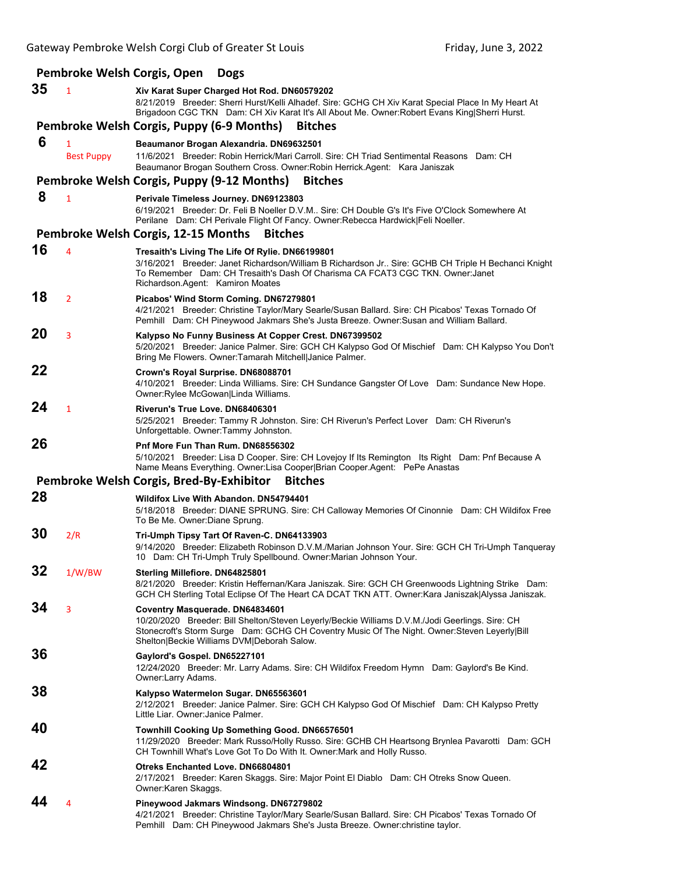|    |                   | Pembroke Welsh Corgis, Open<br><b>Dogs</b>                                                                                                                                                                                                                                          |
|----|-------------------|-------------------------------------------------------------------------------------------------------------------------------------------------------------------------------------------------------------------------------------------------------------------------------------|
| 35 | $\overline{1}$    | Xiv Karat Super Charged Hot Rod. DN60579202<br>8/21/2019 Breeder: Sherri Hurst/Kelli Alhadef. Sire: GCHG CH Xiv Karat Special Place In My Heart At<br>Brigadoon CGC TKN Dam: CH Xiv Karat It's All About Me. Owner: Robert Evans King Sherri Hurst.                                 |
|    |                   | Pembroke Welsh Corgis, Puppy (6-9 Months)<br><b>Bitches</b>                                                                                                                                                                                                                         |
| 6  | 1                 | Beaumanor Brogan Alexandria. DN69632501                                                                                                                                                                                                                                             |
|    | <b>Best Puppy</b> | 11/6/2021 Breeder: Robin Herrick/Mari Carroll, Sire: CH Triad Sentimental Reasons Dam: CH<br>Beaumanor Brogan Southern Cross. Owner: Robin Herrick. Agent: Kara Janiszak                                                                                                            |
|    |                   | Pembroke Welsh Corgis, Puppy (9-12 Months)<br><b>Bitches</b>                                                                                                                                                                                                                        |
| 8  | $\mathbf{1}$      | Perivale Timeless Journey. DN69123803<br>6/19/2021 Breeder: Dr. Feli B Noeller D.V.M Sire: CH Double G's It's Five O'Clock Somewhere At<br>Perilane Dam: CH Perivale Flight Of Fancy. Owner: Rebecca Hardwick Feli Noeller.                                                         |
|    |                   | Pembroke Welsh Corgis, 12-15 Months<br><b>Bitches</b>                                                                                                                                                                                                                               |
| 16 | 4                 | Tresaith's Living The Life Of Rylie. DN66199801<br>3/16/2021 Breeder: Janet Richardson/William B Richardson Jr Sire: GCHB CH Triple H Bechanci Knight<br>To Remember Dam: CH Tresaith's Dash Of Charisma CA FCAT3 CGC TKN. Owner: Janet<br>Richardson.Agent: Kamiron Moates         |
| 18 | $\overline{2}$    | Picabos' Wind Storm Coming. DN67279801<br>4/21/2021 Breeder: Christine Taylor/Mary Searle/Susan Ballard. Sire: CH Picabos' Texas Tornado Of<br>Pemhill Dam: CH Pineywood Jakmars She's Justa Breeze. Owner: Susan and William Ballard.                                              |
| 20 | 3                 | Kalypso No Funny Business At Copper Crest. DN67399502<br>5/20/2021 Breeder: Janice Palmer. Sire: GCH CH Kalypso God Of Mischief Dam: CH Kalypso You Don't<br>Bring Me Flowers. Owner: Tamarah Mitchell Janice Palmer.                                                               |
| 22 |                   | Crown's Royal Surprise. DN68088701<br>4/10/2021 Breeder: Linda Williams. Sire: CH Sundance Gangster Of Love Dam: Sundance New Hope.<br>Owner: Rylee McGowan Linda Williams.                                                                                                         |
| 24 | $\mathbf{1}$      | Riverun's True Love, DN68406301<br>5/25/2021 Breeder: Tammy R Johnston. Sire: CH Riverun's Perfect Lover Dam: CH Riverun's<br>Unforgettable. Owner:Tammy Johnston.                                                                                                                  |
| 26 |                   | Pnf More Fun Than Rum. DN68556302<br>5/10/2021 Breeder: Lisa D Cooper. Sire: CH Lovejoy If Its Remington Its Right Dam: Pnf Because A<br>Name Means Everything. Owner:Lisa Cooper Brian Cooper.Agent: PePe Anastas                                                                  |
|    |                   | Pembroke Welsh Corgis, Bred-By-Exhibitor<br><b>Bitches</b>                                                                                                                                                                                                                          |
| 28 |                   | <b>Wildifox Live With Abandon, DN54794401</b><br>5/18/2018 Breeder: DIANE SPRUNG. Sire: CH Calloway Memories Of Cinonnie Dam: CH Wildifox Free<br>To Be Me. Owner: Diane Sprung.                                                                                                    |
| 30 | 2/R               | Tri-Umph Tipsy Tart Of Raven-C. DN64133903<br>9/14/2020 Breeder: Elizabeth Robinson D.V.M./Marian Johnson Your. Sire: GCH CH Tri-Umph Tanqueray<br>10 Dam: CH Tri-Umph Truly Spellbound. Owner: Marian Johnson Your.                                                                |
| 32 | 1/W/BW            | Sterling Millefiore. DN64825801<br>8/21/2020 Breeder: Kristin Heffernan/Kara Janiszak. Sire: GCH CH Greenwoods Lightning Strike Dam:<br>GCH CH Sterling Total Eclipse Of The Heart CA DCAT TKN ATT. Owner: Kara Janiszak Alyssa Janiszak.                                           |
| 34 | 3                 | Coventry Masquerade. DN64834601<br>10/20/2020 Breeder: Bill Shelton/Steven Leyerly/Beckie Williams D.V.M./Jodi Geerlings. Sire: CH<br>Stonecroft's Storm Surge Dam: GCHG CH Coventry Music Of The Night. Owner: Steven Leyerly   Bill<br>Shelton Beckie Williams DVM Deborah Salow. |
| 36 |                   | Gaylord's Gospel. DN65227101<br>12/24/2020 Breeder: Mr. Larry Adams. Sire: CH Wildifox Freedom Hymn Dam: Gaylord's Be Kind.<br>Owner:Larry Adams.                                                                                                                                   |
| 38 |                   | Kalypso Watermelon Sugar. DN65563601<br>2/12/2021 Breeder: Janice Palmer. Sire: GCH CH Kalypso God Of Mischief Dam: CH Kalypso Pretty<br>Little Liar. Owner: Janice Palmer.                                                                                                         |
| 40 |                   | Townhill Cooking Up Something Good. DN66576501<br>11/29/2020 Breeder: Mark Russo/Holly Russo. Sire: GCHB CH Heartsong Brynlea Pavarotti Dam: GCH<br>CH Townhill What's Love Got To Do With It. Owner: Mark and Holly Russo.                                                         |
| 42 |                   | <b>Otreks Enchanted Love. DN66804801</b><br>2/17/2021 Breeder: Karen Skaggs. Sire: Major Point El Diablo Dam: CH Otreks Snow Queen.<br>Owner:Karen Skaggs.                                                                                                                          |
| 44 | 4                 | Pineywood Jakmars Windsong. DN67279802<br>4/21/2021 Breeder: Christine Taylor/Mary Searle/Susan Ballard. Sire: CH Picabos' Texas Tornado Of<br>Pemhill Dam: CH Pineywood Jakmars She's Justa Breeze. Owner: christine taylor.                                                       |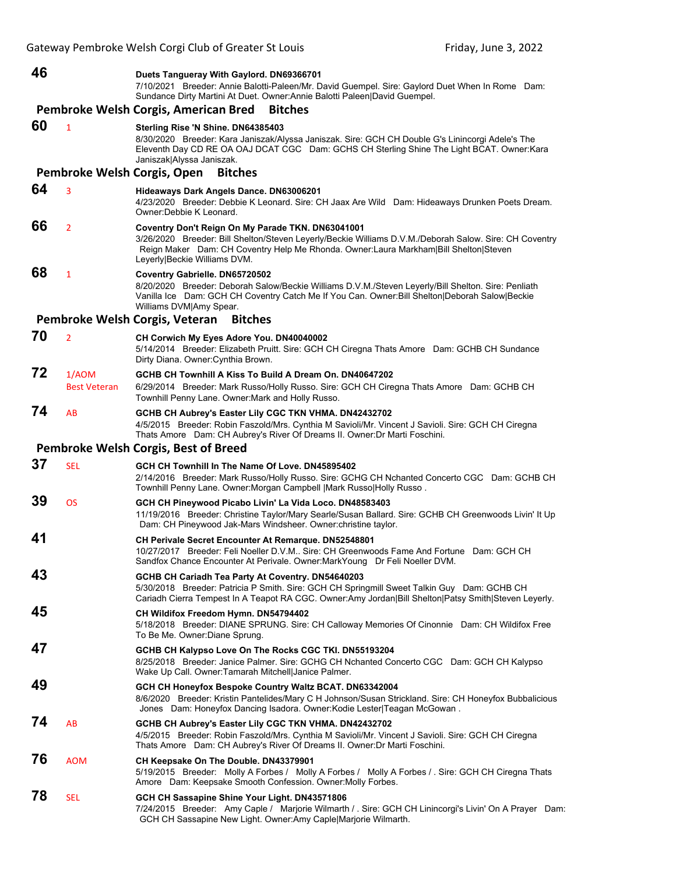# **46 Duets Tangueray With Gaylord. DN69366701**

7/10/2021 Breeder: Annie Balotti-Paleen/Mr. David Guempel. Sire: Gaylord Duet When In Rome Dam: Sundance Dirty Martini At Duet. Owner:Annie Balotti Paleen|David Guempel.

### **Pembroke Welsh Corgis, American Bred Bitches**

### **60** <sup>1</sup> **Sterling Rise 'N Shine. DN64385403** 8/30/2020 Breeder: Kara Janiszak/Alyssa Janiszak. Sire: GCH CH Double G's Linincorgi Adele's The Eleventh Day CD RE OA OAJ DCAT CGC Dam: GCHS CH Sterling Shine The Light BCAT. Owner:Kara Janiszak|Alyssa Janiszak.

**Pembroke Welsh Corgis, Open Bitches**

## **64** <sup>3</sup> **Hideaways Dark Angels Dance. DN63006201**

4/23/2020 Breeder: Debbie K Leonard. Sire: CH Jaax Are Wild Dam: Hideaways Drunken Poets Dream. Owner:Debbie K Leonard.

# **66** <sup>2</sup> **Coventry Don't Reign On My Parade TKN. DN63041001**

3/26/2020 Breeder: Bill Shelton/Steven Leyerly/Beckie Williams D.V.M./Deborah Salow. Sire: CH Coventry Reign Maker Dam: CH Coventry Help Me Rhonda. Owner:Laura Markham|Bill Shelton|Steven Leyerly|Beckie Williams DVM.

# **68** <sup>1</sup> **Coventry Gabrielle. DN65720502**

8/20/2020 Breeder: Deborah Salow/Beckie Williams D.V.M./Steven Leyerly/Bill Shelton. Sire: Penliath Vanilla Ice Dam: GCH CH Coventry Catch Me If You Can. Owner:Bill Shelton|Deborah Salow|Beckie Williams DVM|Amy Spear.

#### **Pembroke Welsh Corgis, Veteran Bitches**

# **70** <sup>2</sup> **CH Corwich My Eyes Adore You. DN40040002** 5/14/2014 Breeder: Elizabeth Pruitt. Sire: GCH CH Ciregna Thats Amore Dam: GCHB CH Sundance

# Dirty Diana. Owner:Cynthia Brown. **72** 1/AOM **GCHB CH Townhill A Kiss To Build A Dream On. DN40647202** Best Veteran 6/29/2014 Breeder: Mark Russo/Holly Russo. Sire: GCH CH Ciregna Thats Amore Dam: GCHB CH Townhill Penny Lane. Owner:Mark and Holly Russo.

### **74** AB **GCHB CH Aubrey's Easter Lily CGC TKN VHMA. DN42432702** 4/5/2015 Breeder: Robin Faszold/Mrs. Cynthia M Savioli/Mr. Vincent J Savioli. Sire: GCH CH Ciregna Thats Amore Dam: CH Aubrey's River Of Dreams II. Owner:Dr Marti Foschini.

### **Pembroke Welsh Corgis, Best of Breed**

**37** SEL **GCH CH Townhill In The Name Of Love. DN45895402** 2/14/2016 Breeder: Mark Russo/Holly Russo. Sire: GCHG CH Nchanted Concerto CGC Dam: GCHB CH Townhill Penny Lane. Owner:Morgan Campbell |Mark Russo|Holly Russo . **39** OS **GCH CH Pineywood Picabo Livin' La Vida Loco. DN48583403** 11/19/2016 Breeder: Christine Taylor/Mary Searle/Susan Ballard. Sire: GCHB CH Greenwoods Livin' It Up Dam: CH Pineywood Jak-Mars Windsheer. Owner:christine taylor. **41 CH Perivale Secret Encounter At Remarque. DN52548801** 10/27/2017 Breeder: Feli Noeller D.V.M.. Sire: CH Greenwoods Fame And Fortune Dam: GCH CH Sandfox Chance Encounter At Perivale. Owner: MarkYoung Dr Feli Noeller DVM. **43 GCHB CH Cariadh Tea Party At Coventry. DN54640203** 5/30/2018 Breeder: Patricia P Smith. Sire: GCH CH Springmill Sweet Talkin Guy Dam: GCHB CH Cariadh Cierra Tempest In A Teapot RA CGC. Owner:Amy Jordan|Bill Shelton|Patsy Smith|Steven Leyerly. **45 CH Wildifox Freedom Hymn. DN54794402** 5/18/2018 Breeder: DIANE SPRUNG. Sire: CH Calloway Memories Of Cinonnie Dam: CH Wildifox Free To Be Me. Owner:Diane Sprung.

# **47 GCHB CH Kalypso Love On The Rocks CGC TKI. DN55193204**

#### 8/25/2018 Breeder: Janice Palmer. Sire: GCHG CH Nchanted Concerto CGC Dam: GCH CH Kalypso Wake Up Call. Owner:Tamarah Mitchell|Janice Palmer.

### **49 GCH CH Honeyfox Bespoke Country Waltz BCAT. DN63342004** 8/6/2020 Breeder: Kristin Pantelides/Mary C H Johnson/Susan Strickland. Sire: CH Honeyfox Bubbalicious Jones Dam: Honeyfox Dancing Isadora. Owner:Kodie Lester|Teagan McGowan .

# **74** AB **GCHB CH Aubrey's Easter Lily CGC TKN VHMA. DN42432702** 4/5/2015 Breeder: Robin Faszold/Mrs. Cynthia M Savioli/Mr. Vincent J Savioli. Sire: GCH CH Ciregna Thats Amore Dam: CH Aubrey's River Of Dreams II. Owner:Dr Marti Foschini.

# **76** AOM **CH Keepsake On The Double. DN43379901**

5/19/2015 Breeder: Molly A Forbes / Molly A Forbes / Molly A Forbes / . Sire: GCH CH Ciregna Thats Amore Dam: Keepsake Smooth Confession. Owner:Molly Forbes.

# **78** SEL **GCH CH Sassapine Shine Your Light. DN43571806**

7/24/2015 Breeder: Amy Caple / Marjorie Wilmarth / . Sire: GCH CH Linincorgi's Livin' On A Prayer Dam: GCH CH Sassapine New Light. Owner:Amy Caple|Marjorie Wilmarth.